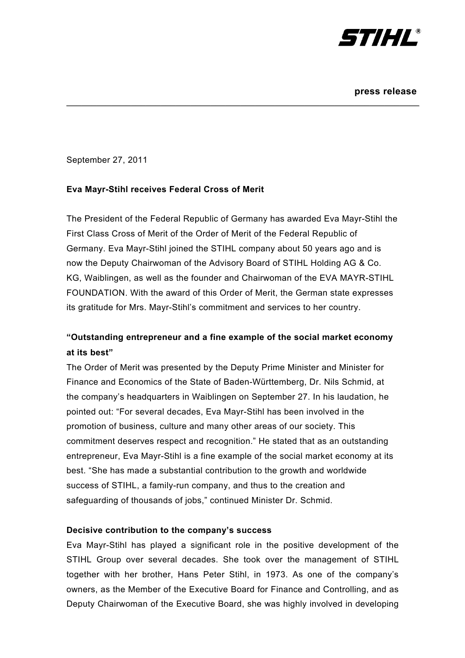

September 27, 2011

## **Eva Mayr-Stihl receives Federal Cross of Merit**

The President of the Federal Republic of Germany has awarded Eva Mayr-Stihl the First Class Cross of Merit of the Order of Merit of the Federal Republic of Germany. Eva Mayr-Stihl joined the STIHL company about 50 years ago and is now the Deputy Chairwoman of the Advisory Board of STIHL Holding AG & Co. KG, Waiblingen, as well as the founder and Chairwoman of the EVA MAYR-STIHL FOUNDATION. With the award of this Order of Merit, the German state expresses its gratitude for Mrs. Mayr-Stihl's commitment and services to her country.

\_\_\_\_\_\_\_\_\_\_\_\_\_\_\_\_\_\_\_\_\_\_\_\_\_\_\_\_\_\_\_\_\_\_\_\_\_\_\_\_\_\_\_\_\_\_\_\_\_\_\_\_\_\_\_\_\_\_\_\_\_\_\_\_\_\_\_\_\_\_\_

# **"Outstanding entrepreneur and a fine example of the social market economy at its best"**

The Order of Merit was presented by the Deputy Prime Minister and Minister for Finance and Economics of the State of Baden-Württemberg, Dr. Nils Schmid, at the company's headquarters in Waiblingen on September 27. In his laudation, he pointed out: "For several decades, Eva Mayr-Stihl has been involved in the promotion of business, culture and many other areas of our society. This commitment deserves respect and recognition." He stated that as an outstanding entrepreneur, Eva Mayr-Stihl is a fine example of the social market economy at its best. "She has made a substantial contribution to the growth and worldwide success of STIHL, a family-run company, and thus to the creation and safeguarding of thousands of jobs," continued Minister Dr. Schmid.

### **Decisive contribution to the company's success**

Eva Mayr-Stihl has played a significant role in the positive development of the STIHL Group over several decades. She took over the management of STIHL together with her brother, Hans Peter Stihl, in 1973. As one of the company's owners, as the Member of the Executive Board for Finance and Controlling, and as Deputy Chairwoman of the Executive Board, she was highly involved in developing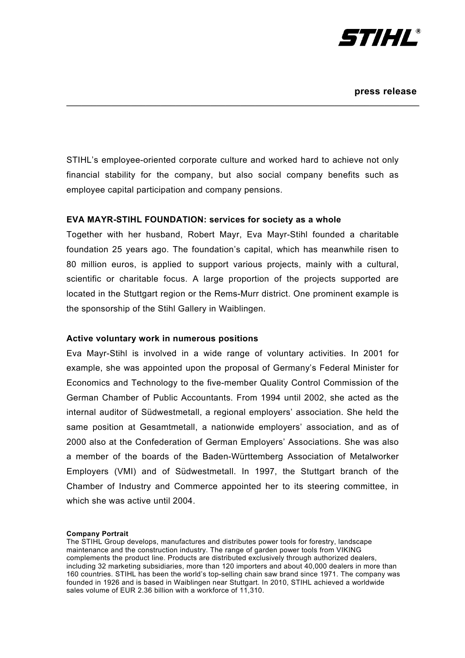

STIHL's employee-oriented corporate culture and worked hard to achieve not only financial stability for the company, but also social company benefits such as employee capital participation and company pensions.

\_\_\_\_\_\_\_\_\_\_\_\_\_\_\_\_\_\_\_\_\_\_\_\_\_\_\_\_\_\_\_\_\_\_\_\_\_\_\_\_\_\_\_\_\_\_\_\_\_\_\_\_\_\_\_\_\_\_\_\_\_\_\_\_\_\_\_\_\_\_\_

#### **EVA MAYR-STIHL FOUNDATION: services for society as a whole**

Together with her husband, Robert Mayr, Eva Mayr-Stihl founded a charitable foundation 25 years ago. The foundation's capital, which has meanwhile risen to 80 million euros, is applied to support various projects, mainly with a cultural, scientific or charitable focus. A large proportion of the projects supported are located in the Stuttgart region or the Rems-Murr district. One prominent example is the sponsorship of the Stihl Gallery in Waiblingen.

#### **Active voluntary work in numerous positions**

Eva Mayr-Stihl is involved in a wide range of voluntary activities. In 2001 for example, she was appointed upon the proposal of Germany's Federal Minister for Economics and Technology to the five-member Quality Control Commission of the German Chamber of Public Accountants. From 1994 until 2002, she acted as the internal auditor of Südwestmetall, a regional employers' association. She held the same position at Gesamtmetall, a nationwide employers' association, and as of 2000 also at the Confederation of German Employers' Associations. She was also a member of the boards of the Baden-Württemberg Association of Metalworker Employers (VMI) and of Südwestmetall. In 1997, the Stuttgart branch of the Chamber of Industry and Commerce appointed her to its steering committee, in which she was active until 2004.

#### **Company Portrait**

The STIHL Group develops, manufactures and distributes power tools for forestry, landscape maintenance and the construction industry. The range of garden power tools from VIKING complements the product line. Products are distributed exclusively through authorized dealers, including 32 marketing subsidiaries, more than 120 importers and about 40,000 dealers in more than 160 countries. STIHL has been the world's top-selling chain saw brand since 1971. The company was founded in 1926 and is based in Waiblingen near Stuttgart. In 2010, STIHL achieved a worldwide sales volume of EUR 2.36 billion with a workforce of 11,310.